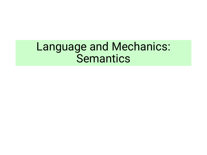# Language and Mechanics: Semantics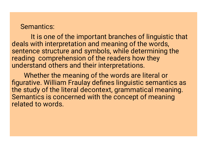#### Semantics:

It is one of the important branches of linguistic that deals with interpretation and meaning of the words, sentence structure and symbols, while determining the reading comprehension of the readers how they understand others and their interpretations.

Whether the meaning of the words are literal or figurative. William Fraulay defines linguistic semantics as the study of the literal decontext, grammatical meaning. Semantics is concerned with the concept of meaning related to words.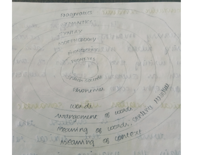pragmatics : DUWWWAR SUUDION SENANTICS. SXNTAX MORPHOLOGY BITTERWITH PHONOLOGIY TUN proud W PHONETICS NIHKUS M N Shear sounds the  $\sim$ mangement of woods, control they DANNES wonder LATA We weaming a context INIT MARI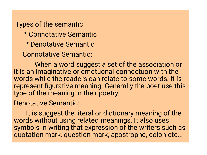Types of the semantic \* Connotative Semantic \* Denotative Semantic Connotative Semantic:

When a word suggest a set of the association or it is an imaginative or emotuonal connectuon with the words while the readers can relate to some words. It is represent figurative meaning. Generally the poet use this type of the meaning in their poetry.

Denotative Semantic:

It is suggest the literal or dictionary meaning of the words without using related meanings. It also uses symbols in writing that expression of the writers such as quotation mark, question mark, apostrophe, colon etc...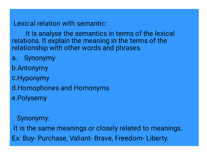Lexical relation with semantic:

It is analyse the semantics in terms of the lexical relations. It explain the meaning in the terms of the relationship with other words and phrases.

a. b. Antonymy c. Hyponymy d. Homophones and Homonyms e. Polysemy Synonymy

Synonymy: It is the same meanings or closely related to meanings. Ex: Buy- Purchase, Valiant- Brave, Freedom- Liberty.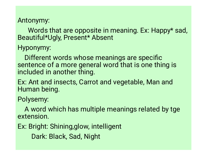## Antonymy:

Words that are opposite in meaning. Ex: Happy\* sad, Beautiful\*Ugly, Present\* Absent

Hyponymy:

Different words whose meanings are specific sentence of a more general word that is one thing is included in another thing.

Ex: Ant and insects, Carrot and vegetable, Man and Human being.

Polysemy:

A word which has multiple meanings related by tge extension.

Ex: Bright: Shining,glow, intelligent

Dark: Black, Sad, Night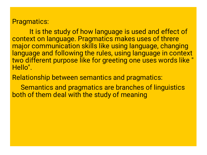### Pragmatics:

It is the study of how language is used and effect of context on language. Pragmatics makes uses of threre major communication skills like using language, changing language and following the rules, using language in context two different purpose like for greeting one uses words like " Hello".

Relationship between semantics and pragmatics:

Semantics and pragmatics are branches of linguistics both of them deal with the study of meaning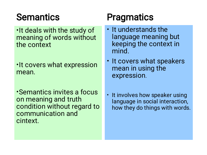# **Semantics**

- It deals with the study of meaning of words without the context
- It covers what expression mean.
- Semantics invites a focus on meaning and truth condition without regard to communication and cintext.

# **Pragmatics**

- It understands the language meaning but keeping the context in mind.
- It covers what speakers mean in using the expression.
- It involves how speaker using language in social interaction, how they do things with words.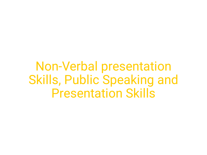Non-Verbal presentation Skills, Public Speaking and Presentation Skills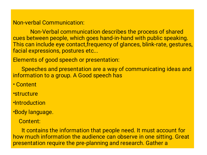#### Non-verbal Communication:

Non-Verbal communication describes the process of shared cues between people, which goes hand-in-hand with public speaking. This can include eye contact,frequency of glances, blink-rate, gestures, facial expressions, postures etc...

Elements of good speech or presentation:

Speeches and presentation are a way of communicating ideas and information to a group. A Good speech has

- Content
- structure
- Introduction
- Body language.
	- Content:

It contains the information that people need. It must account for how much information the audience can observe in one sitting. Great presentation require the pre-planning and research. Gather a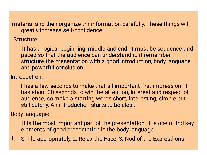material and then organize thr information carefully. These things will greatly increase self-confidence.

Structure:

It has a logical beginning, middle and end. It must be sequence and paced so that the audience can understand it. it remember structure the presentation with a good introduction, body language and powerful conclusion.

Introduction:

It has a few seconds to make that all important first impression. It has about 30 seconds to win the attention, interest and respect of audience, so make a starting words short, interesting, simple but still catchy. An introduction starts to be clear.

Body language:

It is the most important part of the presentation. It is one of thd key elements of good presentation is the body language.

1. Smile appropriately, 2. Relax the Face, 3. Nod of the Expresdions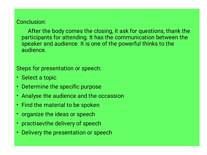#### Conclusion:

After the body comes the closing, it ask for questions, thank the participants for attending. It has the communication between the speaker and audience. It is one of the powerful thinks to the audience.

Steps for presentation or speech:

- Select a topic
- Determine the specific purpose
- Analyse the audience and the occassion
- Find the material to be spoken
- organize the ideas or speech
- practisevthe delivery of speech
- Delivery the presentation or speech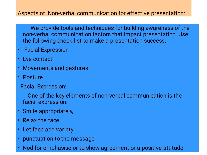### Aspects of Non-verbal communication for effective presentation:

We provide tools and techniques for building awareness of the non-verbal communication factors that impact presentation. Use the following check-list to make a presentation success.

- Facial Expression
- Eye contact
- Movements and gestures
- Posture
	- Facial Expression:

One of the key elements of non-verbal communication is the facial expression.

- $\bullet$ Smile appropriately,
- Relax the face
- Let face add variety
- punctuation to the message
- Nod for emphasise or to show agreement or a positive attitude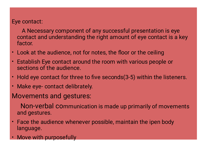Eye contact:

A Necessary component of any successful presentation is eye contact and understanding the right amount of eye contact is a key factor.

- Look at the audience, not for notes, the floor or the ceiling
- Establish Eye contact around the room with various people or sections of the audience.
- Hold eye contact for three to five seconds(3-5) within the listeners.
- Make eye- contact delibrately.

## Movements and gestures:

Non-verbal communication is made up primarily of movements and gestures.

- Face the audience whenever possible, maintain the ipen body language.
- Move with purposefully